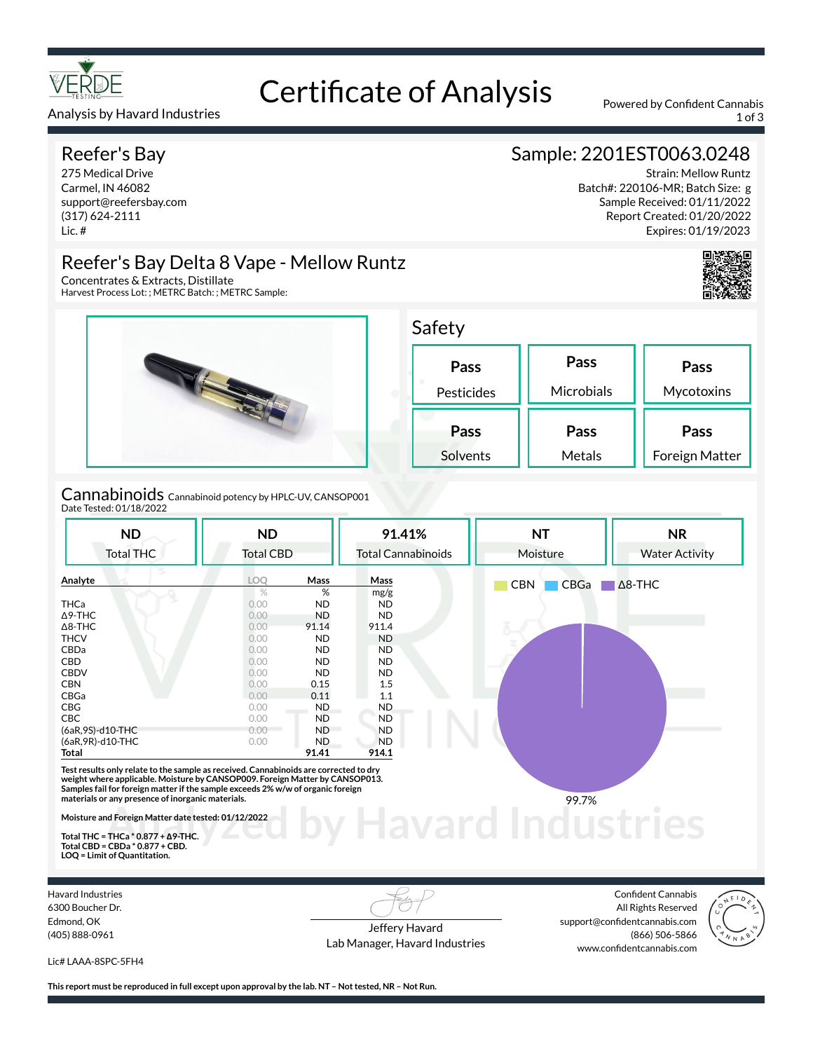

# Certificate of Analysis Powered by Confident Cannabis

Analysis by Havard Industries 1 of 3

### Reefer's Bay

275 Medical Drive Carmel, IN 46082 support@reefersbay.com (317) 624-2111 Lic. #

# Sample: 2201EST0063.0248

Strain: Mellow Runtz Batch#: 220106-MR; Batch Size: g Sample Received: 01/11/2022 Report Created: 01/20/2022 Expires: 01/19/2023



# Reefer's Bay Delta 8 Vape - Mellow Runtz

Concentrates & Extracts, Distillate Harvest Process Lot: ; METRC Batch: ; METRC Sample:



Cannabinoids Cannabinoid potency by HPLC-UV, CANSOP001 Date Tested: 01/18/2022

| <b>ND</b>                                                                                                                                                                                                                                                | <b>ND</b><br><b>Total CBD</b> |           | 91.41%                    | <b>NT</b>          | <b>NR</b><br><b>Water Activity</b> |  |
|----------------------------------------------------------------------------------------------------------------------------------------------------------------------------------------------------------------------------------------------------------|-------------------------------|-----------|---------------------------|--------------------|------------------------------------|--|
| <b>Total THC</b>                                                                                                                                                                                                                                         |                               |           | <b>Total Cannabinoids</b> | Moisture           |                                    |  |
| Analyte                                                                                                                                                                                                                                                  | LOQ                           | Mass      | Mass                      | <b>CBN</b><br>CBGa | $\Delta$ 8-THC                     |  |
|                                                                                                                                                                                                                                                          | $\%$                          | %         | mg/g                      |                    |                                    |  |
| <b>THCa</b>                                                                                                                                                                                                                                              | 0.00                          | <b>ND</b> | <b>ND</b>                 |                    |                                    |  |
| $\Delta$ 9-THC                                                                                                                                                                                                                                           | 0.00                          | ND        | <b>ND</b>                 |                    |                                    |  |
| $\Delta$ 8-THC                                                                                                                                                                                                                                           | 0.00                          | 91.14     | 911.4                     |                    |                                    |  |
| <b>THCV</b>                                                                                                                                                                                                                                              | 0.00                          | <b>ND</b> | <b>ND</b>                 |                    |                                    |  |
| CBDa                                                                                                                                                                                                                                                     | 0.00                          | ND        | ND.                       |                    |                                    |  |
| CBD                                                                                                                                                                                                                                                      | 0.00                          | <b>ND</b> | ND.                       |                    |                                    |  |
| <b>CBDV</b>                                                                                                                                                                                                                                              | 0.00                          | <b>ND</b> | ND.                       |                    |                                    |  |
| <b>CBN</b>                                                                                                                                                                                                                                               | 0.00                          | 0.15      | 1.5                       |                    |                                    |  |
| CBGa                                                                                                                                                                                                                                                     | 0.00                          | 0.11      | 1.1                       |                    |                                    |  |
| CBG                                                                                                                                                                                                                                                      | 0.00                          | ND.       | <b>ND</b>                 |                    |                                    |  |
| <b>CBC</b>                                                                                                                                                                                                                                               | 0.00                          | <b>ND</b> | <b>ND</b>                 |                    |                                    |  |
| (6aR,9S)-d10-THC                                                                                                                                                                                                                                         | $0.00 -$                      | <b>ND</b> | <b>ND</b>                 |                    |                                    |  |
| (6aR, 9R)-d10-THC                                                                                                                                                                                                                                        | 0.00                          | ND.       | <b>ND</b>                 |                    |                                    |  |
| Total                                                                                                                                                                                                                                                    |                               | 91.41     | 914.1                     |                    |                                    |  |
| Test results only relate to the sample as received. Cannabinoids are corrected to dry<br>weight where applicable. Moisture by CANSOP009. Foreign Matter by CANSOP013.<br>Samples fail for foreign matter if the sample exceeds 2% w/w of organic foreign |                               |           |                           |                    |                                    |  |
| materials or any presence of inorganic materials.                                                                                                                                                                                                        |                               |           |                           | 99.7%              |                                    |  |
| Moisture and Foreign Matter date tested: 01/12/2022                                                                                                                                                                                                      |                               |           |                           |                    |                                    |  |
| Total THC = THCa $*$ 0.877 + $\Delta$ 9-THC.                                                                                                                                                                                                             |                               |           |                           |                    |                                    |  |
| $T_{\rm eff}$ $CDD - CDD - 1007$                                                                                                                                                                                                                         |                               |           |                           |                    |                                    |  |

**Total THC = THCa \* 0.877 + ∆9-THC. Total CBD = CBDa \* 0.877 + CBD. LOQ = Limit of Quantitation.**

Havard Industries 6300 Boucher Dr. Edmond, OK (405) 888-0961

Jeffery Havard Lab Manager, Havard Industries

Confident Cannabis All Rights Reserved support@confidentcannabis.com (866) 506-5866 www.confidentcannabis.com



Lic# LAAA-8SPC-5FH4

**This report must be reproduced in full except upon approval by the lab. NT – Not tested, NR – Not Run.**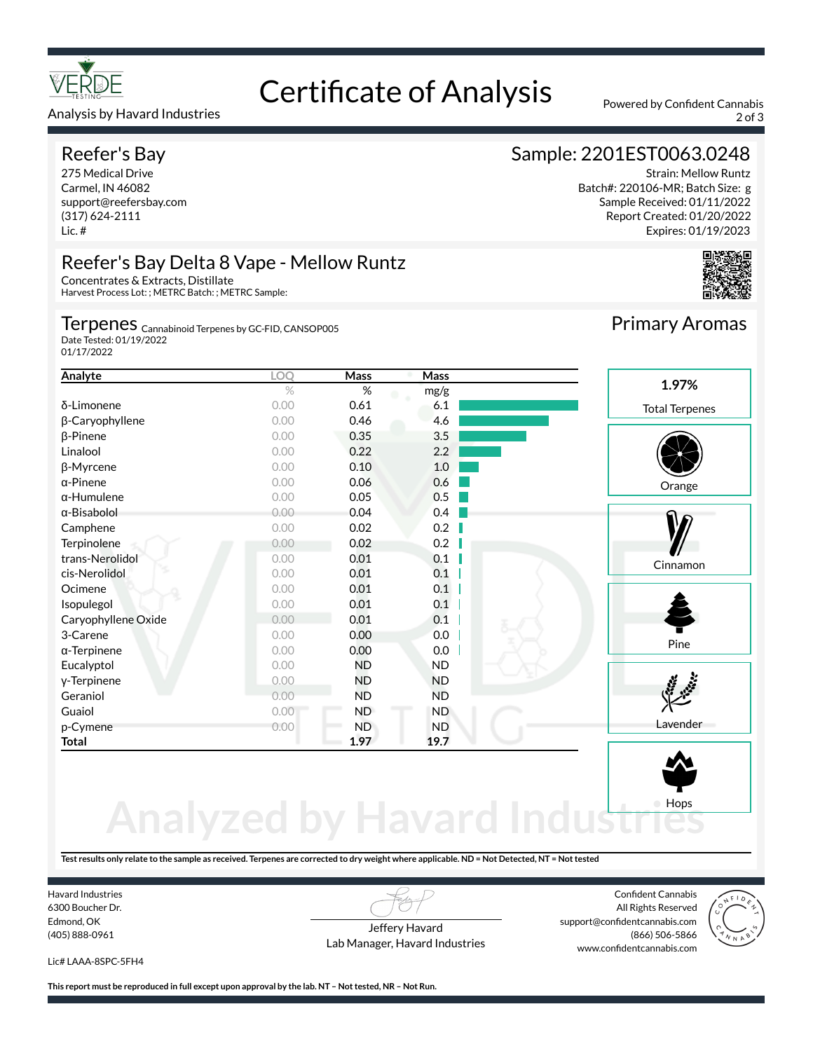

#### Analysis by Havard Industries 2 of 3

## Reefer's Bay

275 Medical Drive Carmel, IN 46082 support@reefersbay.com (317) 624-2111 Lic. #

# Certificate of Analysis Powered by Confident Cannabis

# Sample: 2201EST0063.0248

Strain: Mellow Runtz Batch#: 220106-MR; Batch Size: g Sample Received: 01/11/2022 Report Created: 01/20/2022 Expires: 01/19/2023



#### Reefer's Bay Delta 8 Vape - Mellow Runtz Concentrates & Extracts, Distillate

Harvest Process Lot: ; METRC Batch: ; METRC Sample:

### Terpenes <sub>Cannabinoid Terpenes by GC-FID, CANSOP005</sub>

Date Tested: 01/19/2022 01/17/2022

| Analyte             | LOQ  | Mass      | Mass      |                       |
|---------------------|------|-----------|-----------|-----------------------|
|                     | $\%$ | $\%$      | mg/g      | 1.97%                 |
| δ-Limonene          | 0.00 | 0.61      | 6.1       | <b>Total Terpenes</b> |
| β-Caryophyllene     | 0.00 | 0.46      | 4.6       |                       |
| $\beta$ -Pinene     | 0.00 | 0.35      | 3.5       |                       |
| Linalool            | 0.00 | 0.22      | 2.2       |                       |
| β-Myrcene           | 0.00 | 0.10      | 1.0       |                       |
| $\alpha$ -Pinene    | 0.00 | 0.06      | 0.6       | Orange                |
| $\alpha$ -Humulene  | 0.00 | 0.05      | 0.5       |                       |
| $\alpha$ -Bisabolol | 0.00 | 0.04      | 0.4       |                       |
| Camphene            | 0.00 | 0.02      | 0.2       |                       |
| Terpinolene         | 0.00 | 0.02      | 0.2       |                       |
| trans-Nerolidol     | 0.00 | 0.01      | 0.1       | Cinnamon              |
| cis-Nerolidol       | 0.00 | 0.01      | 0.1       |                       |
| Ocimene             | 0.00 | 0.01      | 0.1       |                       |
| Isopulegol          | 0.00 | 0.01      | 0.1       |                       |
| Caryophyllene Oxide | 0.00 | 0.01      | 0.1       |                       |
| 3-Carene            | 0.00 | 0.00      | 0.0       |                       |
| $\alpha$ -Terpinene | 0.00 | 0.00      | 0.0       | Pine                  |
| Eucalyptol          | 0.00 | <b>ND</b> | <b>ND</b> |                       |
| y-Terpinene         | 0.00 | <b>ND</b> | <b>ND</b> |                       |
| Geraniol            | 0.00 | <b>ND</b> | <b>ND</b> |                       |
| Guaiol              | 0.00 | ND        | <b>ND</b> |                       |
| p-Cymene            | 0.00 | <b>ND</b> | <b>ND</b> | Lavender              |
| Total               |      | 1.97      | 19.7      |                       |
|                     |      |           |           |                       |

# **Analyzed by Havard Indust**

**Test results only relate to the sample as received. Terpenes are corrected to dry weight where applicable. ND = Not Detected, NT = Not tested**

Havard Industries 6300 Boucher Dr. Edmond, OK (405) 888-0961

Jeffery Havard Lab Manager, Havard Industries

Confident Cannabis All Rights Reserved support@confidentcannabis.com (866) 506-5866 www.confidentcannabis.com

Hops



Lic# LAAA-8SPC-5FH4

**This report must be reproduced in full except upon approval by the lab. NT – Not tested, NR – Not Run.**

Primary Aromas